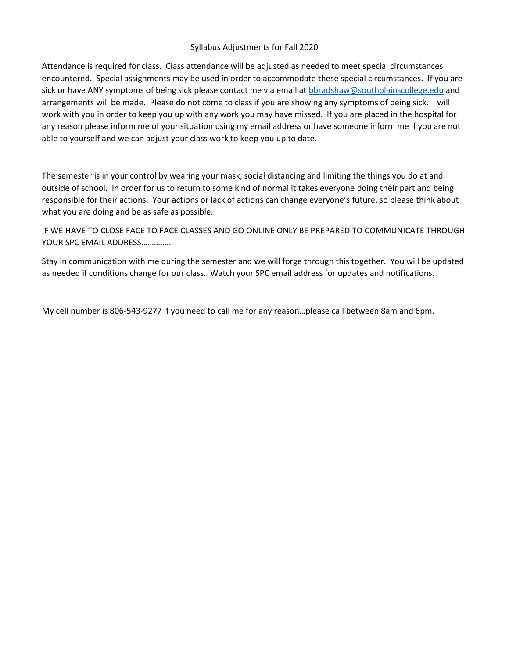## Syllabus Adjustments for Fall 2020

Attendance is required for class. Class attendance will be adjusted as needed to meet special circumstances encountered. Special assignments may be used in order to accommodate these special circumstances. If you are sick or have ANY symptoms of being sick please contact me via email at [bbradshaw@southplainscollege.edu](mailto:bbradshaw@southplainscollege.edu) and arrangements will be made. Please do not come to class if you are showing any symptoms of being sick. I will work with you in order to keep you up with any work you may have missed. If you are placed in the hospital for any reason please inform me of your situation using my email address or have someone inform me if you are not able to yourself and we can adjust your class work to keep you up to date.

The semester is in your control by wearing your mask, social distancing and limiting the things you do at and outside of school. In order for us to return to some kind of normal it takes everyone doing their part and being responsible for their actions. Your actions or lack of actions can change everyone's future, so please think about what you are doing and be as safe as possible.

IF WE HAVE TO CLOSE FACE TO FACE CLASSES AND GO ONLINE ONLY BE PREPARED TO COMMUNICATE THROUGH YOUR SPC EMAIL ADDRESS…………..

Stay in communication with me during the semester and we will forge through this together. You will be updated as needed if conditions change for our class. Watch your SPC email address for updates and notifications.

My cell number is 806-543-9277 if you need to call me for any reason…please call between 8am and 6pm.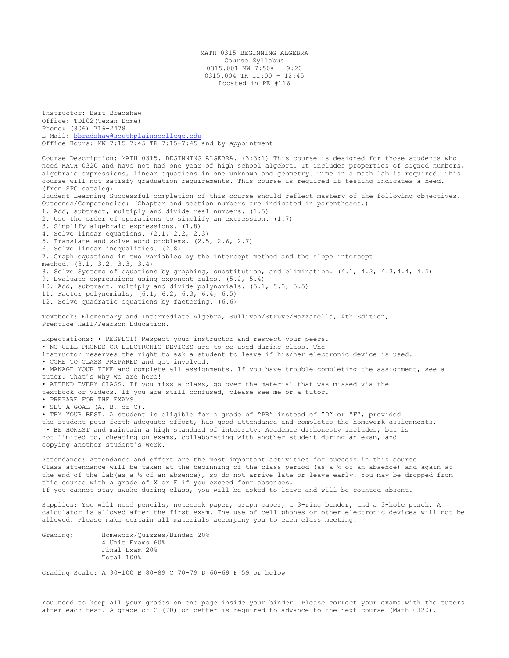MATH 0315–BEGINNING ALGEBRA Course Syllabus 0315.001 MW 7:50a – 9:20 0315.004 TR 11:00 – 12:45 Located in PE #116

Instructor: Bart Bradshaw Office: TD102(Texan Dome) Phone: (806) 716-2478 E-Mail: [bbradshaw@southplainscollege.edu](mailto:bbradshaw@southplainscollege.edu) Office Hours: MW 7:15–7:45 TR 7:15-7:45 and by appointment

Course Description: MATH 0315. BEGINNING ALGEBRA. (3:3:1) This course is designed for those students who need MATH 0320 and have not had one year of high school algebra. It includes properties of signed numbers, algebraic expressions, linear equations in one unknown and geometry. Time in a math lab is required. This course will not satisfy graduation requirements. This course is required if testing indicates a need. (from SPC catalog) Student Learning Successful completion of this course should reflect mastery of the following objectives. Outcomes/Competencies: (Chapter and section numbers are indicated in parentheses.) 1. Add, subtract, multiply and divide real numbers. (1.5) 2. Use the order of operations to simplify an expression. (1.7) 3. Simplify algebraic expressions. (1.8) 4. Solve linear equations. (2.1, 2.2, 2.3) 5. Translate and solve word problems. (2.5, 2.6, 2.7) 6. Solve linear inequalities. (2.8) 7. Graph equations in two variables by the intercept method and the slope intercept method. (3.1, 3.2, 3.3, 3.4) 8. Solve Systems of equations by graphing, substitution, and elimination. (4.1, 4.2, 4.3,4.4, 4.5) 9. Evaluate expressions using exponent rules. (5.2, 5.4) 10. Add, subtract, multiply and divide polynomials. (5.1, 5.3, 5.5) 11. Factor polynomials, (6.1, 6.2, 6.3, 6.4, 6.5) 12. Solve quadratic equations by factoring. (6.6) Textbook: Elementary and Intermediate Algebra, Sullivan/Struve/Mazzarella, 4th Edition, Prentice Hall/Pearson Education. Expectations: • RESPECT! Respect your instructor and respect your peers. • NO CELL PHONES OR ELECTRONIC DEVICES are to be used during class. The instructor reserves the right to ask a student to leave if his/her electronic device is used. • COME TO CLASS PREPARED and get involved. • MANAGE YOUR TIME and complete all assignments. If you have trouble completing the assignment, see a tutor. That's why we are here! • ATTEND EVERY CLASS. If you miss a class, go over the material that was missed via the textbook or videos. If you are still confused, please see me or a tutor. • PREPARE FOR THE EXAMS. • SET A GOAL (A, B, or C). • TRY YOUR BEST. A student is eligible for a grade of "PR" instead of "D" or "F", provided the student puts forth adequate effort, has good attendance and completes the homework assignments. • BE HONEST and maintain a high standard of integrity. Academic dishonesty includes, but is not limited to, cheating on exams, collaborating with another student during an exam, and copying another student's work. Attendance: Attendance and effort are the most important activities for success in this course. Class attendance will be taken at the beginning of the class period (as a ½ of an absence) and again at the end of the lab(as a ½ of an absence), so do not arrive late or leave early. You may be dropped from this course with a grade of X or F if you exceed four absences. If you cannot stay awake during class, you will be asked to leave and will be counted absent. Supplies: You will need pencils, notebook paper, graph paper, a 3-ring binder, and a 3-hole punch. A calculator is allowed after the first exam. The use of cell phones or other electronic devices will not be allowed. Please make certain all materials accompany you to each class meeting.

Grading: Homework/Quizzes/Binder 20% 4 Unit Exams 60% Final Exam 20% Total 100%

Grading Scale: A 90-100 B 80-89 C 70-79 D 60-69 F 59 or below

You need to keep all your grades on one page inside your binder. Please correct your exams with the tutors after each test. A grade of C (70) or better is required to advance to the next course (Math 0320).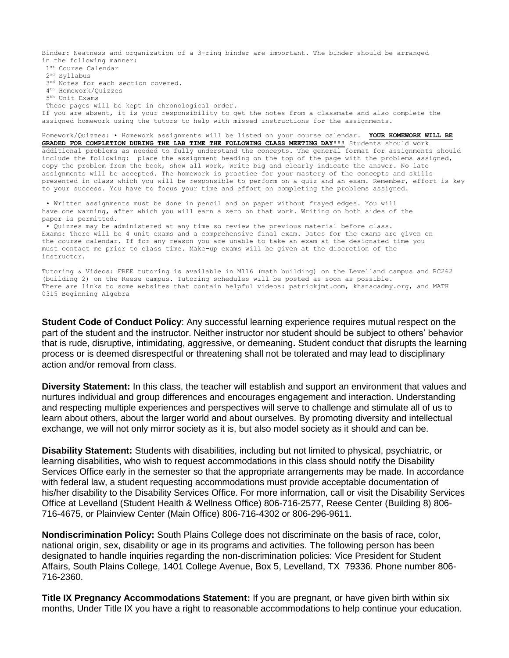Binder: Neatness and organization of a 3-ring binder are important. The binder should be arranged in the following manner:

1 st Course Calendar 2 nd Syllabus  $3^{rd}$  Notes for each section covered. 4 th Homework/Quizzes 5 th Unit Exams These pages will be kept in chronological order. If you are absent, it is your responsibility to get the notes from a classmate and also complete the assigned homework using the tutors to help with missed instructions for the assignments.

Homework/Quizzes: • Homework assignments will be listed on your course calendar. **YOUR HOMEWORK WILL BE GRADED FOR COMPLETION DURING THE LAB TIME THE FOLLOWING CLASS MEETING DAY!!!** Students should work additional problems as needed to fully understand the concepts. The general format for assignments should include the following: place the assignment heading on the top of the page with the problems assigned, copy the problem from the book, show all work, write big and clearly indicate the answer. No late assignments will be accepted. The homework is practice for your mastery of the concepts and skills presented in class which you will be responsible to perform on a quiz and an exam. Remember, effort is key to your success. You have to focus your time and effort on completing the problems assigned.

• Written assignments must be done in pencil and on paper without frayed edges. You will have one warning, after which you will earn a zero on that work. Writing on both sides of the paper is permitted.

• Quizzes may be administered at any time so review the previous material before class. Exams: There will be 4 unit exams and a comprehensive final exam. Dates for the exams are given on the course calendar. If for any reason you are unable to take an exam at the designated time you must contact me prior to class time. Make-up exams will be given at the discretion of the instructor.

Tutoring & Videos: FREE tutoring is available in M116 (math building) on the Levelland campus and RC262 (building 2) on the Reese campus. Tutoring schedules will be posted as soon as possible. There are links to some websites that contain helpful videos: patrickjmt.com, khanacadmy.org, and MATH 0315 Beginning Algebra

**Student Code of Conduct Policy**: Any successful learning experience requires mutual respect on the part of the student and the instructor. Neither instructor nor student should be subject to others' behavior that is rude, disruptive, intimidating, aggressive, or demeaning**.** Student conduct that disrupts the learning process or is deemed disrespectful or threatening shall not be tolerated and may lead to disciplinary action and/or removal from class.

**Diversity Statement:** In this class, the teacher will establish and support an environment that values and nurtures individual and group differences and encourages engagement and interaction. Understanding and respecting multiple experiences and perspectives will serve to challenge and stimulate all of us to learn about others, about the larger world and about ourselves. By promoting diversity and intellectual exchange, we will not only mirror society as it is, but also model society as it should and can be.

**Disability Statement:** Students with disabilities, including but not limited to physical, psychiatric, or learning disabilities, who wish to request accommodations in this class should notify the Disability Services Office early in the semester so that the appropriate arrangements may be made. In accordance with federal law, a student requesting accommodations must provide acceptable documentation of his/her disability to the Disability Services Office. For more information, call or visit the Disability Services Office at Levelland (Student Health & Wellness Office) 806-716-2577, Reese Center (Building 8) 806- 716-4675, or Plainview Center (Main Office) 806-716-4302 or 806-296-9611.

**Nondiscrimination Policy:** South Plains College does not discriminate on the basis of race, color, national origin, sex, disability or age in its programs and activities. The following person has been designated to handle inquiries regarding the non-discrimination policies: Vice President for Student Affairs, South Plains College, 1401 College Avenue, Box 5, Levelland, TX 79336. Phone number 806- 716-2360.

**Title IX Pregnancy Accommodations Statement:** If you are pregnant, or have given birth within six months, Under Title IX you have a right to reasonable accommodations to help continue your education.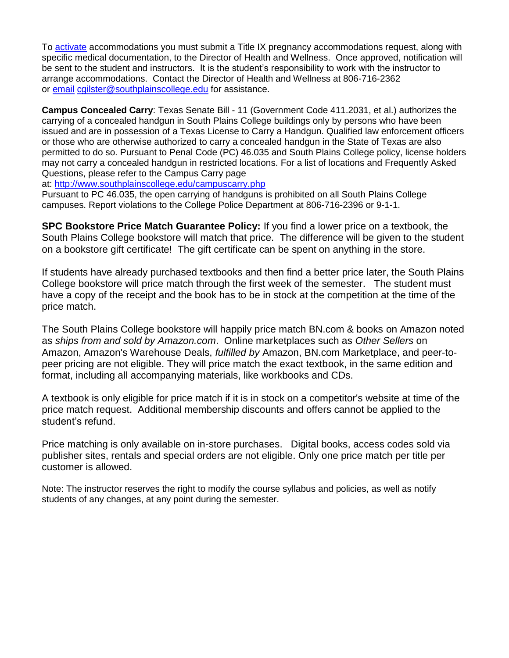To [activate](http://www.southplainscollege.edu/employees/manualshandbooks/facultyhandbook/sec4.php) accommodations you must submit a Title IX pregnancy accommodations request, along with specific medical documentation, to the Director of Health and Wellness. Once approved, notification will be sent to the student and instructors. It is the student's responsibility to work with the instructor to arrange accommodations. Contact the Director of Health and Wellness at 806-716-2362 or [email](http://www.southplainscollege.edu/employees/manualshandbooks/facultyhandbook/sec4.php) [cgilster@southplainscollege.edu](mailto:cgilster@southplainscollege.edu) for assistance.

**Campus Concealed Carry**: Texas Senate Bill - 11 (Government Code 411.2031, et al.) authorizes the carrying of a concealed handgun in South Plains College buildings only by persons who have been issued and are in possession of a Texas License to Carry a Handgun. Qualified law enforcement officers or those who are otherwise authorized to carry a concealed handgun in the State of Texas are also permitted to do so. Pursuant to Penal Code (PC) 46.035 and South Plains College policy, license holders may not carry a concealed handgun in restricted locations. For a list of locations and Frequently Asked Questions, please refer to the Campus Carry page

at: <http://www.southplainscollege.edu/campuscarry.php>

Pursuant to PC 46.035, the open carrying of handguns is prohibited on all South Plains College campuses. Report violations to the College Police Department at 806-716-2396 or 9-1-1.

**SPC Bookstore Price Match Guarantee Policy:** If you find a lower price on a textbook, the South Plains College bookstore will match that price. The difference will be given to the student on a bookstore gift certificate! The gift certificate can be spent on anything in the store.

If students have already purchased textbooks and then find a better price later, the South Plains College bookstore will price match through the first week of the semester. The student must have a copy of the receipt and the book has to be in stock at the competition at the time of the price match.

The South Plains College bookstore will happily price match BN.com & books on Amazon noted as *ships from and sold by Amazon.com*. Online marketplaces such as *Other Sellers* on Amazon, Amazon's Warehouse Deals, *fulfilled by* Amazon, BN.com Marketplace, and peer-topeer pricing are not eligible. They will price match the exact textbook, in the same edition and format, including all accompanying materials, like workbooks and CDs.

A textbook is only eligible for price match if it is in stock on a competitor's website at time of the price match request. Additional membership discounts and offers cannot be applied to the student's refund.

Price matching is only available on in-store purchases. Digital books, access codes sold via publisher sites, rentals and special orders are not eligible. Only one price match per title per customer is allowed.

Note: The instructor reserves the right to modify the course syllabus and policies, as well as notify students of any changes, at any point during the semester.